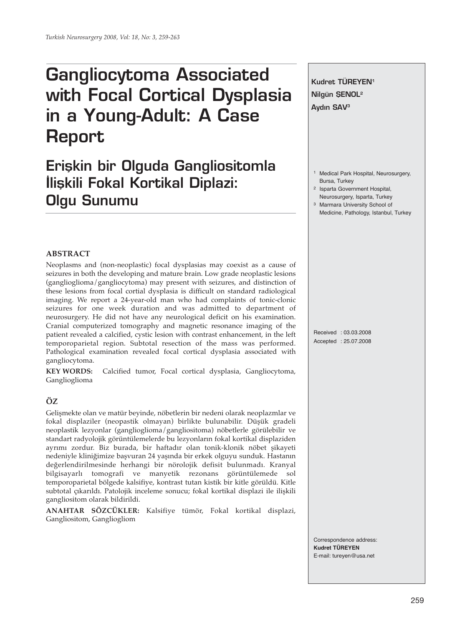# **Gangliocytoma Associated with Focal Cortical Dysplasia in a Young-Adult: A Case Report**

# **Erişkin bir Olguda Gangliositomla ‹liflkili Fokal Kortikal Diplazi: Olgu Sunumu**



Correspondence address: **Kudret TÜREYEN** E-mail: tureyen@usa.net

## **ABSTRACT**

Neoplasms and (non-neoplastic) focal dysplasias may coexist as a cause of seizures in both the developing and mature brain. Low grade neoplastic lesions (ganglioglioma/gangliocytoma) may present with seizures, and distinction of these lesions from focal cortial dysplasia is difficult on standard radiological imaging. We report a 24-year-old man who had complaints of tonic-clonic seizures for one week duration and was admitted to department of neurosurgery. He did not have any neurological deficit on his examination. Cranial computerized tomography and magnetic resonance imaging of the patient revealed a calcified, cystic lesion with contrast enhancement, in the left temporoparietal region. Subtotal resection of the mass was performed. Pathological examination revealed focal cortical dysplasia associated with gangliocytoma.

**KEY WORDS:** Calcified tumor, Focal cortical dysplasia, Gangliocytoma, Ganglioglioma

### **ÖZ**

Gelişmekte olan ve matür beyinde, nöbetlerin bir nedeni olarak neoplazmlar ve fokal displaziler (neopastik olmayan) birlikte bulunabilir. Düşük gradeli neoplastik lezyonlar (ganglioglioma/gangliositoma) nöbetlerle görülebilir ve standart radyolojik görüntülemelerde bu lezyonların fokal kortikal displaziden ayrımı zordur. Biz burada, bir haftadır olan tonik-klonik nöbet şikayeti nedeniyle kliniğimize başvuran 24 yaşında bir erkek olguyu sunduk. Hastanın değerlendirilmesinde herhangi bir nörolojik defisit bulunmadı. Kranyal bilgisayarlı tomografi ve manyetik rezonans görüntülemede sol temporoparietal bölgede kalsifiye, kontrast tutan kistik bir kitle görüldü. Kitle subtotal çıkarıldı. Patolojik inceleme sonucu; fokal kortikal displazi ile ilişkili gangliositom olarak bildirildi.

**ANAHTAR SÖZCÜKLER:** Kalsifiye tümör, Fokal kortikal displazi, Gangliositom, Gangliogliom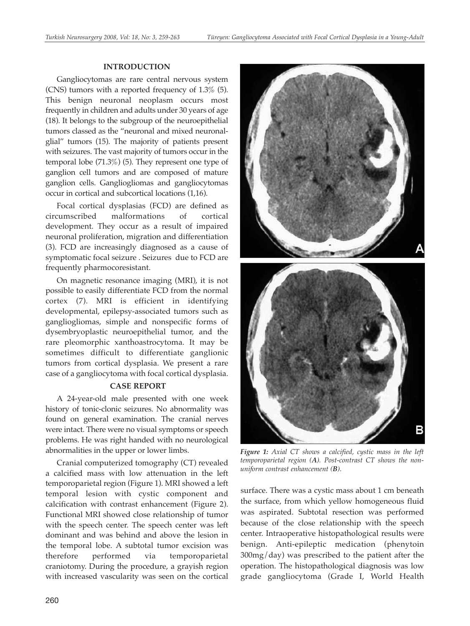#### **INTRODUCTION**

Gangliocytomas are rare central nervous system (CNS) tumors with a reported frequency of 1.3% (5). This benign neuronal neoplasm occurs most frequently in children and adults under 30 years of age (18). It belongs to the subgroup of the neuroepithelial tumors classed as the "neuronal and mixed neuronalglial" tumors (15). The majority of patients present with seizures. The vast majority of tumors occur in the temporal lobe (71.3%) (5). They represent one type of ganglion cell tumors and are composed of mature ganglion cells. Gangliogliomas and gangliocytomas occur in cortical and subcortical locations (1,16).

Focal cortical dysplasias (FCD) are defined as circumscribed malformations of cortical development. They occur as a result of impaired neuronal proliferation, migration and differentiation (3). FCD are increasingly diagnosed as a cause of symptomatic focal seizure . Seizures due to FCD are frequently pharmocoresistant.

On magnetic resonance imaging (MRI), it is not possible to easily differentiate FCD from the normal cortex (7). MRI is efficient in identifying developmental, epilepsy-associated tumors such as gangliogliomas, simple and nonspecific forms of dysembryoplastic neuroepithelial tumor, and the rare pleomorphic xanthoastrocytoma. It may be sometimes difficult to differentiate ganglionic tumors from cortical dysplasia. We present a rare case of a gangliocytoma with focal cortical dysplasia.

#### **CASE REPORT**

A 24-year-old male presented with one week history of tonic-clonic seizures. No abnormality was found on general examination. The cranial nerves were intact. There were no visual symptoms or speech problems. He was right handed with no neurological abnormalities in the upper or lower limbs.

Cranial computerized tomography (CT) revealed a calcified mass with low attenuation in the left temporoparietal region (Figure 1). MRI showed a left temporal lesion with cystic component and calcification with contrast enhancement (Figure 2). Functional MRI showed close relationship of tumor with the speech center. The speech center was left dominant and was behind and above the lesion in the temporal lobe. A subtotal tumor excision was therefore performed via temporoparietal craniotomy. During the procedure, a grayish region with increased vascularity was seen on the cortical



*Figure 1: Axial CT shows a calcified, cystic mass in the left temporoparietal region (A). Post-contrast CT shows the nonuniform contrast enhancement (B).* 

surface. There was a cystic mass about 1 cm beneath the surface, from which yellow homogeneous fluid was aspirated. Subtotal resection was performed because of the close relationship with the speech center. Intraoperative histopathological results were benign. Anti-epileptic medication (phenytoin 300mg/day) was prescribed to the patient after the operation. The histopathological diagnosis was low grade gangliocytoma (Grade I, World Health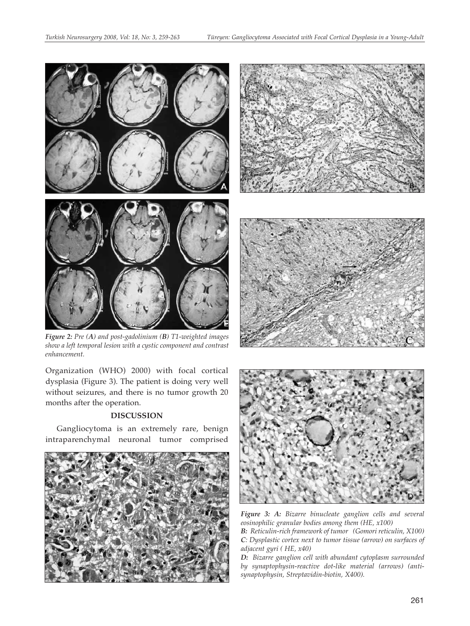

*Figure 2: Pre (A) and post-gadolinium (B) T1-weighted images show a left temporal lesion with a cystic component and contrast enhancement.*

Organization (WHO) 2000) with focal cortical dysplasia (Figure 3). The patient is doing very well without seizures, and there is no tumor growth 20 months after the operation.

#### **DISCUSSION**

Gangliocytoma is an extremely rare, benign intraparenchymal neuronal tumor comprised









*Figure 3: A: Bizarre binucleate ganglion cells and several eosinophilic granular bodies among them (HE, x100)* 

*B: Reticulin-rich framework of tumor (Gomori reticulin, X100) C: Dysplastic cortex next to tumor tissue (arrow) on surfaces of adjacent gyri ( HE, x40)* 

*D: Bizarre ganglion cell with abundant cytoplasm surrounded by synaptophysin-reactive dot-like material (arrows) (antisynaptophysin, Streptavidin-biotin, X400).*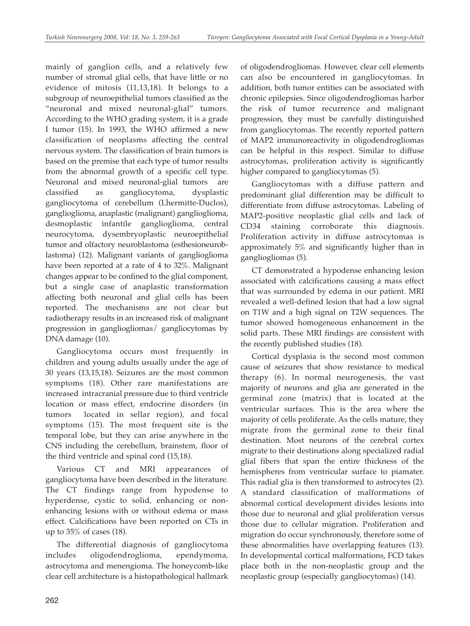mainly of ganglion cells, and a relatively few number of stromal glial cells, that have little or no evidence of mitosis (11,13,18). It belongs to a subgroup of neuroepithelial tumors classified as the "neuronal and mixed neuronal-glial" tumors. According to the WHO grading system, it is a grade I tumor (15). In 1993, the WHO affirmed a new classification of neoplasms affecting the central nervous system. The classification of brain tumors is based on the premise that each type of tumor results from the abnormal growth of a specific cell type. Neuronal and mixed neuronal-glial tumors are classified as gangliocytoma, dysplastic gangliocytoma of cerebellum (Lhermitte-Duclos), ganglioglioma, anaplastic (malignant) ganglioglioma, desmoplastic infantile ganglioglioma, central neurocytoma, dysembryoplastic neuroepithelial tumor and olfactory neuroblastoma (esthesioneuroblastoma) (12). Malignant variants of ganglioglioma have been reported at a rate of 4 to 32%. Malignant changes appear to be confined to the glial component, but a single case of anaplastic transformation affecting both neuronal and glial cells has been reported. The mechanisms are not clear but radiotherapy results in an increased risk of malignant progression in gangliogliomas/ gangliocytomas by DNA damage (10).

Gangliocytoma occurs most frequently in children and young adults usually under the age of 30 years (13,15,18). Seizures are the most common symptoms (18). Other rare manifestations are increased intracranial pressure due to third ventricle location or mass effect, endocrine disorders (in tumors located in sellar region), and focal symptoms (15). The most frequent site is the temporal lobe, but they can arise anywhere in the CNS including the cerebellum, brainstem, floor of the third ventricle and spinal cord (15,18).

Various CT and MRI appearances of gangliocytoma have been described in the literature. The CT findings range from hypodense to hyperdense, cystic to solid, enhancing or nonenhancing lesions with or without edema or mass effect. Calcifications have been reported on CTs in up to 35% of cases (18).

The differential diagnosis of gangliocytoma includes oligodendroglioma, ependymoma, astrocytoma and menengioma. The honeycomb-like clear cell architecture is a histopathological hallmark of oligodendrogliomas. However, clear cell elements can also be encountered in gangliocytomas. In addition, both tumor entities can be associated with chronic epilepsies. Since oligodendrogliomas harbor the risk of tumor recurrence and malignant progression, they must be carefully distinguished from gangliocytomas. The recently reported pattern of MAP2 immunoreactivity in oligodendrogliomas can be helpful in this respect. Similar to diffuse astrocytomas, proliferation activity is significantly higher compared to gangliocytomas (5).

Gangliocytomas with a diffuse pattern and predominant glial differention may be difficult to differentiate from diffuse astrocytomas. Labeling of MAP2-positive neoplastic glial cells and lack of CD34 staining corroborate this diagnosis. Proliferation activity in diffuse astrocytomas is approximately 5% and significantly higher than in gangliogliomas (5).

CT demonstrated a hypodense enhancing lesion associated with calcifications causing a mass effect that was surrounded by edema in our patient. MRI revealed a well-defined lesion that had a low signal on T1W and a high signal on T2W sequences. The tumor showed homogeneous enhancement in the solid parts. These MRI findings are consistent with the recently published studies (18).

Cortical dysplasia is the second most common cause of seizures that show resistance to medical therapy (6). In normal neurogenesis, the vast majority of neurons and glia are generated in the germinal zone (matrix) that is located at the ventricular surfaces. This is the area where the majority of cells proliferate. As the cells mature, they migrate from the germinal zone to their final destination. Most neurons of the cerebral cortex migrate to their destinations along specialized radial glial fibers that span the entire thickness of the hemispheres from ventricular surface to piamater. This radial glia is then transformed to astrocytes (2). A standard classification of malformations of abnormal cortical development divides lesions into those due to neuronal and glial proliferation versus those due to cellular migration. Proliferation and migration do occur synchronously, therefore some of these abnormalities have overlapping features (13). In developmental cortical malformations, FCD takes place both in the non-neoplastic group and the neoplastic group (especially gangliocytomas) (14).